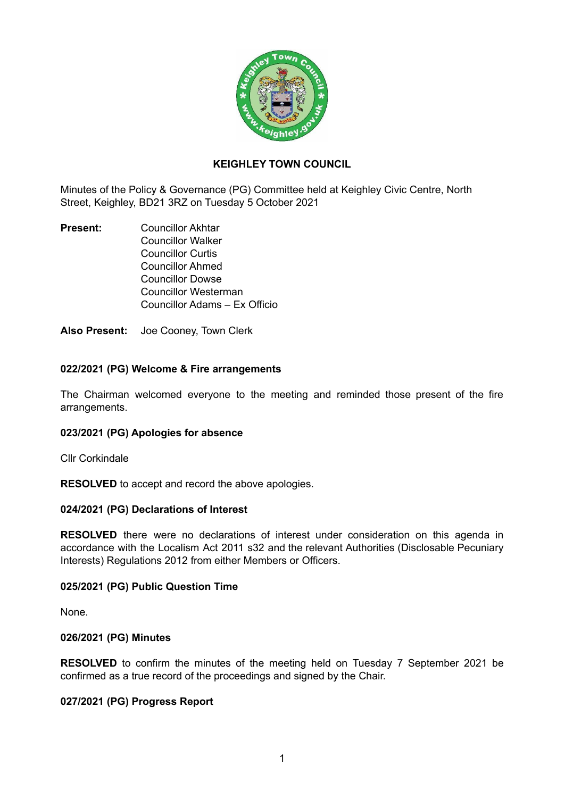

# **KEIGHLEY TOWN COUNCIL**

Minutes of the Policy & Governance (PG) Committee held at Keighley Civic Centre, North Street, Keighley, BD21 3RZ on Tuesday 5 October 2021

**Present:** Councillor Akhtar Councillor Walker Councillor Curtis Councillor Ahmed Councillor Dowse Councillor Westerman Councillor Adams – Ex Officio

**Also Present:** Joe Cooney, Town Clerk

# **022/2021 (PG) Welcome & Fire arrangements**

The Chairman welcomed everyone to the meeting and reminded those present of the fire arrangements.

### **023/2021 (PG) Apologies for absence**

Cllr Corkindale

**RESOLVED** to accept and record the above apologies.

# **024/2021 (PG) Declarations of Interest**

**RESOLVED** there were no declarations of interest under consideration on this agenda in accordance with the Localism Act 2011 s32 and the relevant Authorities (Disclosable Pecuniary Interests) Regulations 2012 from either Members or Officers.

# **025/2021 (PG) Public Question Time**

None.

### **026/2021 (PG) Minutes**

**RESOLVED** to confirm the minutes of the meeting held on Tuesday 7 September 2021 be confirmed as a true record of the proceedings and signed by the Chair.

# **027/2021 (PG) Progress Report**